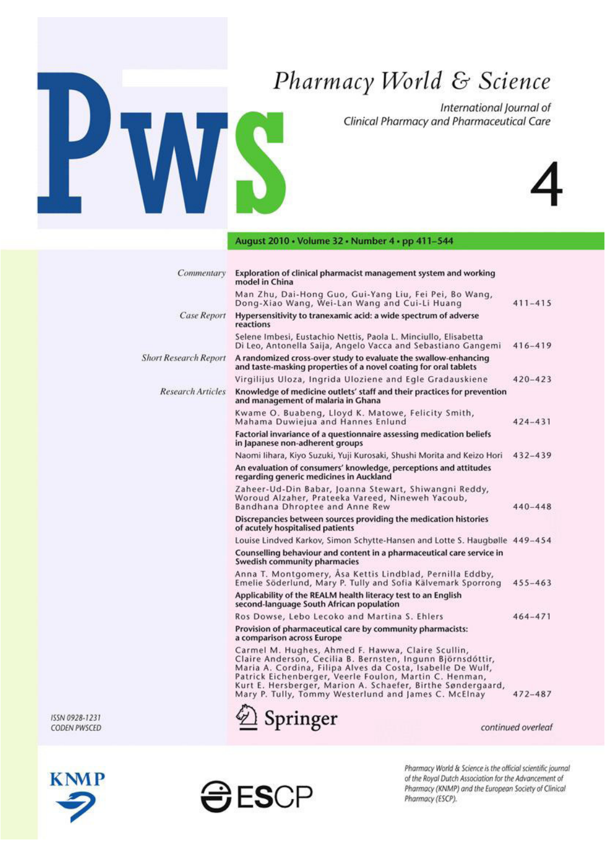# Pharmacy World & Science

International Journal of Clinical Pharmacy and Pharmaceutical Care



# August 2010 • Volume 32 • Number 4 • pp 411-544

IS

| Commentary                   | Exploration of clinical pharmacist management system and working<br>model in China                                                                                                                                                                                                                                                                             |             |
|------------------------------|----------------------------------------------------------------------------------------------------------------------------------------------------------------------------------------------------------------------------------------------------------------------------------------------------------------------------------------------------------------|-------------|
|                              | Man Zhu, Dai-Hong Guo, Gui-Yang Liu, Fei Pei, Bo Wang,<br>Dong-Xiao Wang, Wei-Lan Wang and Cui-Li Huang                                                                                                                                                                                                                                                        | $411 - 415$ |
| <b>Case Report</b>           | Hypersensitivity to tranexamic acid: a wide spectrum of adverse<br>reactions                                                                                                                                                                                                                                                                                   |             |
|                              | Selene Imbesi, Eustachio Nettis, Paola L. Minciullo, Elisabetta<br>Di Leo, Antonella Saija, Angelo Vacca and Sebastiano Gangemi                                                                                                                                                                                                                                | $416 - 419$ |
| <b>Short Research Report</b> | A randomized cross-over study to evaluate the swallow-enhancing<br>and taste-masking properties of a novel coating for oral tablets                                                                                                                                                                                                                            |             |
|                              | Virgilijus Uloza, Ingrida Uloziene and Egle Gradauskiene                                                                                                                                                                                                                                                                                                       | $420 - 423$ |
| <b>Research Articles</b>     | Knowledge of medicine outlets' staff and their practices for prevention<br>and management of malaria in Ghana                                                                                                                                                                                                                                                  |             |
|                              | Kwame O. Buabeng, Lloyd K. Matowe, Felicity Smith,<br>Mahama Duwiejua and Hannes Enlund                                                                                                                                                                                                                                                                        | $424 - 431$ |
|                              | Factorial invariance of a questionnaire assessing medication beliefs<br>in Japanese non-adherent groups                                                                                                                                                                                                                                                        |             |
|                              | Naomi lihara, Kiyo Suzuki, Yuji Kurosaki, Shushi Morita and Keizo Hori                                                                                                                                                                                                                                                                                         | $432 - 439$ |
|                              | An evaluation of consumers' knowledge, perceptions and attitudes<br>regarding generic medicines in Auckland                                                                                                                                                                                                                                                    |             |
|                              | Zaheer-Ud-Din Babar, Joanna Stewart, Shiwangni Reddy,<br>Woroud Alzaher, Prateeka Vareed, Nineweh Yacoub,<br>Bandhana Dhroptee and Anne Rew                                                                                                                                                                                                                    | $440 - 448$ |
|                              | Discrepancies between sources providing the medication histories<br>of acutely hospitalised patients                                                                                                                                                                                                                                                           |             |
|                              | Louise Lindved Karkov, Simon Schytte-Hansen and Lotte S. Haugbølle 449-454                                                                                                                                                                                                                                                                                     |             |
|                              | Counselling behaviour and content in a pharmaceutical care service in<br>Swedish community pharmacies                                                                                                                                                                                                                                                          |             |
|                              | Anna T. Montgomery, Asa Kettis Lindblad, Pernilla Eddby,<br>Emelie Söderlund, Mary P. Tully and Sofia Kälvemark Sporrong                                                                                                                                                                                                                                       | $455 - 463$ |
|                              | Applicability of the REALM health literacy test to an English<br>second-language South African population                                                                                                                                                                                                                                                      |             |
|                              | Ros Dowse, Lebo Lecoko and Martina S. Ehlers                                                                                                                                                                                                                                                                                                                   | $464 - 471$ |
|                              | Provision of pharmaceutical care by community pharmacists:<br>a comparison across Europe                                                                                                                                                                                                                                                                       |             |
|                              | Carmel M. Hughes, Ahmed F. Hawwa, Claire Scullin,<br>Claire Anderson, Cecilia B. Bernsten, Ingunn Björnsdóttir,<br>Maria A. Cordina, Filipa Alves da Costa, Isabelle De Wulf,<br>Patrick Eichenberger, Veerle Foulon, Martin C. Henman,<br>Kurt E. Hersberger, Marion A. Schaefer, Birthe Søndergaard,<br>Mary P. Tully, Tommy Westerlund and James C. McElnay | 472-487     |
|                              |                                                                                                                                                                                                                                                                                                                                                                |             |







2 Springer

Pharmacy World & Science is the official scientific journal of the Royal Dutch Association for the Advancement of Pharmacy (KNMP) and the European Society of Clinical Pharmacy (ESCP).

continued overleaf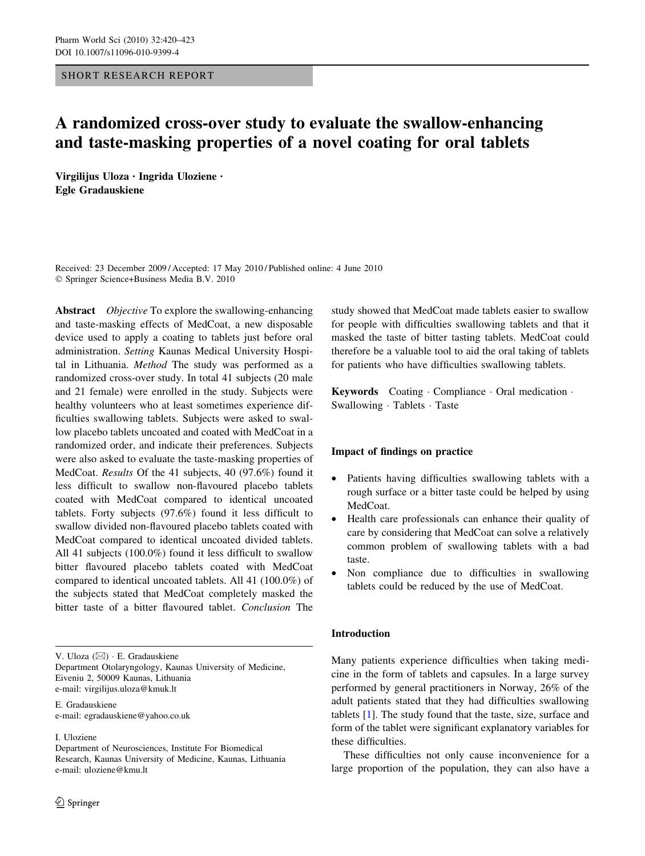#### SHORT RESEARCH REPORT

# A randomized cross-over study to evaluate the swallow-enhancing and taste-masking properties of a novel coating for oral tablets

Virgilijus Uloza • Ingrida Uloziene • Egle Gradauskiene

Received: 23 December 2009 / Accepted: 17 May 2010 / Published online: 4 June 2010 - Springer Science+Business Media B.V. 2010

Abstract Objective To explore the swallowing-enhancing and taste-masking effects of MedCoat, a new disposable device used to apply a coating to tablets just before oral administration. Setting Kaunas Medical University Hospital in Lithuania. Method The study was performed as a randomized cross-over study. In total 41 subjects (20 male and 21 female) were enrolled in the study. Subjects were healthy volunteers who at least sometimes experience difficulties swallowing tablets. Subjects were asked to swallow placebo tablets uncoated and coated with MedCoat in a randomized order, and indicate their preferences. Subjects were also asked to evaluate the taste-masking properties of MedCoat. Results Of the 41 subjects, 40 (97.6%) found it less difficult to swallow non-flavoured placebo tablets coated with MedCoat compared to identical uncoated tablets. Forty subjects (97.6%) found it less difficult to swallow divided non-flavoured placebo tablets coated with MedCoat compared to identical uncoated divided tablets. All 41 subjects (100.0%) found it less difficult to swallow bitter flavoured placebo tablets coated with MedCoat compared to identical uncoated tablets. All 41 (100.0%) of the subjects stated that MedCoat completely masked the bitter taste of a bitter flavoured tablet. Conclusion The

V. Uloza (⊠) · E. Gradauskiene Department Otolaryngology, Kaunas University of Medicine, Eiveniu 2, 50009 Kaunas, Lithuania e-mail: virgilijus.uloza@kmuk.lt

E. Gradauskiene e-mail: egradauskiene@yahoo.co.uk

#### I. Uloziene

Department of Neurosciences, Institute For Biomedical Research, Kaunas University of Medicine, Kaunas, Lithuania e-mail: uloziene@kmu.lt

study showed that MedCoat made tablets easier to swallow for people with difficulties swallowing tablets and that it masked the taste of bitter tasting tablets. MedCoat could therefore be a valuable tool to aid the oral taking of tablets for patients who have difficulties swallowing tablets.

Keywords Coating - Compliance - Oral medication - Swallowing - Tablets - Taste

#### Impact of findings on practice

- Patients having difficulties swallowing tablets with a rough surface or a bitter taste could be helped by using MedCoat.
- Health care professionals can enhance their quality of care by considering that MedCoat can solve a relatively common problem of swallowing tablets with a bad taste.
- Non compliance due to difficulties in swallowing tablets could be reduced by the use of MedCoat.

#### Introduction

Many patients experience difficulties when taking medicine in the form of tablets and capsules. In a large survey performed by general practitioners in Norway, 26% of the adult patients stated that they had difficulties swallowing tablets [\[1](#page-4-0)]. The study found that the taste, size, surface and form of the tablet were significant explanatory variables for these difficulties.

These difficulties not only cause inconvenience for a large proportion of the population, they can also have a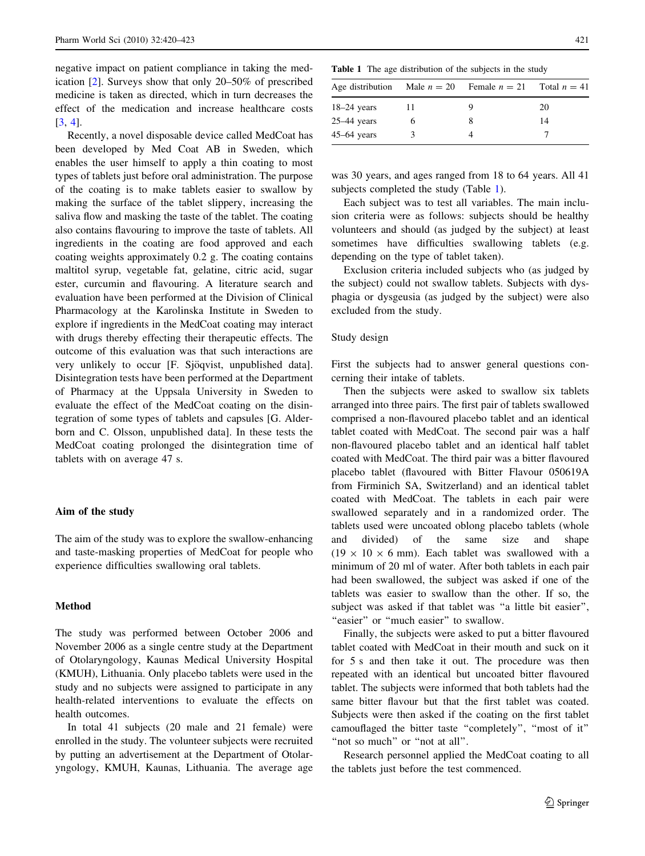negative impact on patient compliance in taking the medication [\[2](#page-4-0)]. Surveys show that only 20–50% of prescribed medicine is taken as directed, which in turn decreases the effect of the medication and increase healthcare costs [\[3](#page-4-0), [4](#page-4-0)].

Recently, a novel disposable device called MedCoat has been developed by Med Coat AB in Sweden, which enables the user himself to apply a thin coating to most types of tablets just before oral administration. The purpose of the coating is to make tablets easier to swallow by making the surface of the tablet slippery, increasing the saliva flow and masking the taste of the tablet. The coating also contains flavouring to improve the taste of tablets. All ingredients in the coating are food approved and each coating weights approximately 0.2 g. The coating contains maltitol syrup, vegetable fat, gelatine, citric acid, sugar ester, curcumin and flavouring. A literature search and evaluation have been performed at the Division of Clinical Pharmacology at the Karolinska Institute in Sweden to explore if ingredients in the MedCoat coating may interact with drugs thereby effecting their therapeutic effects. The outcome of this evaluation was that such interactions are very unlikely to occur [F. Sjöqvist, unpublished data]. Disintegration tests have been performed at the Department of Pharmacy at the Uppsala University in Sweden to evaluate the effect of the MedCoat coating on the disintegration of some types of tablets and capsules [G. Alderborn and C. Olsson, unpublished data]. In these tests the MedCoat coating prolonged the disintegration time of tablets with on average 47 s.

#### Aim of the study

The aim of the study was to explore the swallow-enhancing and taste-masking properties of MedCoat for people who experience difficulties swallowing oral tablets.

#### **Method**

The study was performed between October 2006 and November 2006 as a single centre study at the Department of Otolaryngology, Kaunas Medical University Hospital (KMUH), Lithuania. Only placebo tablets were used in the study and no subjects were assigned to participate in any health-related interventions to evaluate the effects on health outcomes.

In total 41 subjects (20 male and 21 female) were enrolled in the study. The volunteer subjects were recruited by putting an advertisement at the Department of Otolaryngology, KMUH, Kaunas, Lithuania. The average age

Table 1 The age distribution of the subjects in the study

| Age distribution Male $n = 20$ Female $n = 21$ |   | Total $n = 41$ |
|------------------------------------------------|---|----------------|
| $18-24$ years                                  |   | 20             |
| $25-44$ years                                  | O | 14             |
| $45-64$ years                                  |   |                |

was 30 years, and ages ranged from 18 to 64 years. All 41 subjects completed the study (Table 1).

Each subject was to test all variables. The main inclusion criteria were as follows: subjects should be healthy volunteers and should (as judged by the subject) at least sometimes have difficulties swallowing tablets (e.g. depending on the type of tablet taken).

Exclusion criteria included subjects who (as judged by the subject) could not swallow tablets. Subjects with dysphagia or dysgeusia (as judged by the subject) were also excluded from the study.

#### Study design

First the subjects had to answer general questions concerning their intake of tablets.

Then the subjects were asked to swallow six tablets arranged into three pairs. The first pair of tablets swallowed comprised a non-flavoured placebo tablet and an identical tablet coated with MedCoat. The second pair was a half non-flavoured placebo tablet and an identical half tablet coated with MedCoat. The third pair was a bitter flavoured placebo tablet (flavoured with Bitter Flavour 050619A from Firminich SA, Switzerland) and an identical tablet coated with MedCoat. The tablets in each pair were swallowed separately and in a randomized order. The tablets used were uncoated oblong placebo tablets (whole and divided) of the same size and shape  $(19 \times 10 \times 6 \text{ mm})$ . Each tablet was swallowed with a minimum of 20 ml of water. After both tablets in each pair had been swallowed, the subject was asked if one of the tablets was easier to swallow than the other. If so, the subject was asked if that tablet was ''a little bit easier'', "easier" or "much easier" to swallow.

Finally, the subjects were asked to put a bitter flavoured tablet coated with MedCoat in their mouth and suck on it for 5 s and then take it out. The procedure was then repeated with an identical but uncoated bitter flavoured tablet. The subjects were informed that both tablets had the same bitter flavour but that the first tablet was coated. Subjects were then asked if the coating on the first tablet camouflaged the bitter taste ''completely'', ''most of it'' "not so much" or "not at all".

Research personnel applied the MedCoat coating to all the tablets just before the test commenced.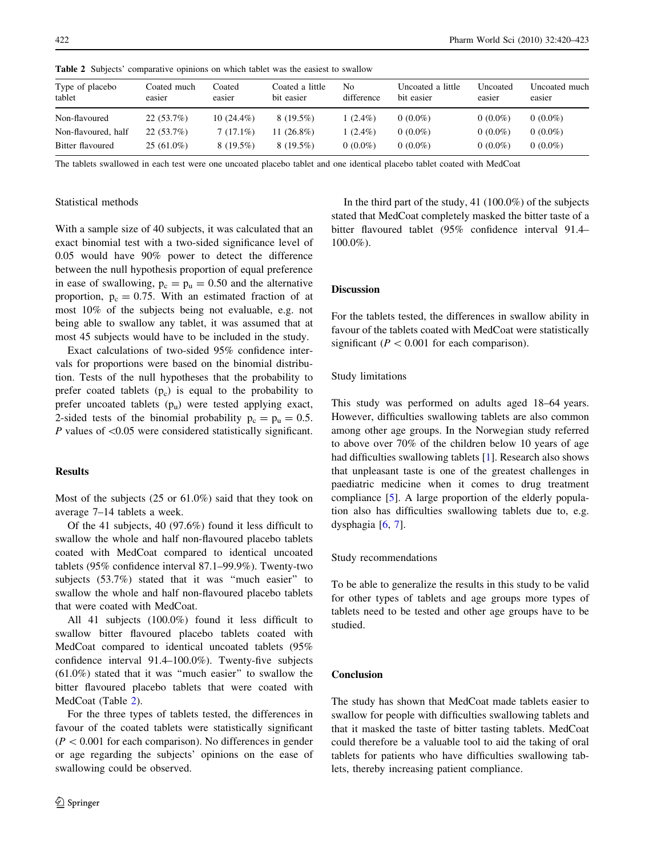| Type of placebo<br>tablet | Coated much<br>easier | Coated<br>easier | Coated a little<br>bit easier | No<br>difference | Uncoated a little<br>bit easier | Uncoated<br>easier | Uncoated much<br>easier |
|---------------------------|-----------------------|------------------|-------------------------------|------------------|---------------------------------|--------------------|-------------------------|
| Non-flavoured             | $22(53.7\%)$          | $10(24.4\%)$     | $8(19.5\%)$                   | $1(2.4\%)$       | $0(0.0\%)$                      | $0(0.0\%)$         | $0(0.0\%)$              |
| Non-flavoured, half       | 22(53.7%)             | $7(17.1\%)$      | 11 (26.8%)                    | $(2.4\%)$        | $0(0.0\%)$                      | $0(0.0\%)$         | $0(0.0\%)$              |
| Bitter flavoured          | $25(61.0\%)$          | $8(19.5\%)$      | $8(19.5\%)$                   | $0(0.0\%)$       | $0(0.0\%)$                      | $0(0.0\%)$         | $0(0.0\%)$              |
|                           |                       |                  |                               |                  |                                 |                    |                         |

Table 2 Subjects' comparative opinions on which tablet was the easiest to swallow

The tablets swallowed in each test were one uncoated placebo tablet and one identical placebo tablet coated with MedCoat

#### Statistical methods

With a sample size of 40 subjects, it was calculated that an exact binomial test with a two-sided significance level of 0.05 would have 90% power to detect the difference between the null hypothesis proportion of equal preference in ease of swallowing,  $p_c = p_u = 0.50$  and the alternative proportion,  $p_c = 0.75$ . With an estimated fraction of at most 10% of the subjects being not evaluable, e.g. not being able to swallow any tablet, it was assumed that at most 45 subjects would have to be included in the study.

Exact calculations of two-sided 95% confidence intervals for proportions were based on the binomial distribution. Tests of the null hypotheses that the probability to prefer coated tablets  $(p<sub>c</sub>)$  is equal to the probability to prefer uncoated tablets  $(p_u)$  were tested applying exact, 2-sided tests of the binomial probability  $p_c = p_u = 0.5$ . P values of  $\leq 0.05$  were considered statistically significant.

# Results

Most of the subjects (25 or 61.0%) said that they took on average 7–14 tablets a week.

Of the 41 subjects, 40 (97.6%) found it less difficult to swallow the whole and half non-flavoured placebo tablets coated with MedCoat compared to identical uncoated tablets (95% confidence interval 87.1–99.9%). Twenty-two subjects (53.7%) stated that it was ''much easier'' to swallow the whole and half non-flavoured placebo tablets that were coated with MedCoat.

All 41 subjects (100.0%) found it less difficult to swallow bitter flavoured placebo tablets coated with MedCoat compared to identical uncoated tablets (95% confidence interval 91.4–100.0%). Twenty-five subjects (61.0%) stated that it was ''much easier'' to swallow the bitter flavoured placebo tablets that were coated with MedCoat (Table 2).

For the three types of tablets tested, the differences in favour of the coated tablets were statistically significant  $(P<0.001$  for each comparison). No differences in gender or age regarding the subjects' opinions on the ease of swallowing could be observed.

In the third part of the study, 41 (100.0%) of the subjects stated that MedCoat completely masked the bitter taste of a bitter flavoured tablet (95% confidence interval 91.4– 100.0%).

## Discussion

For the tablets tested, the differences in swallow ability in favour of the tablets coated with MedCoat were statistically significant ( $P < 0.001$  for each comparison).

#### Study limitations

This study was performed on adults aged 18–64 years. However, difficulties swallowing tablets are also common among other age groups. In the Norwegian study referred to above over 70% of the children below 10 years of age had difficulties swallowing tablets [[1\]](#page-4-0). Research also shows that unpleasant taste is one of the greatest challenges in paediatric medicine when it comes to drug treatment compliance [\[5](#page-4-0)]. A large proportion of the elderly population also has difficulties swallowing tablets due to, e.g. dysphagia [\[6](#page-4-0), [7](#page-4-0)].

#### Study recommendations

To be able to generalize the results in this study to be valid for other types of tablets and age groups more types of tablets need to be tested and other age groups have to be studied.

## Conclusion

The study has shown that MedCoat made tablets easier to swallow for people with difficulties swallowing tablets and that it masked the taste of bitter tasting tablets. MedCoat could therefore be a valuable tool to aid the taking of oral tablets for patients who have difficulties swallowing tablets, thereby increasing patient compliance.